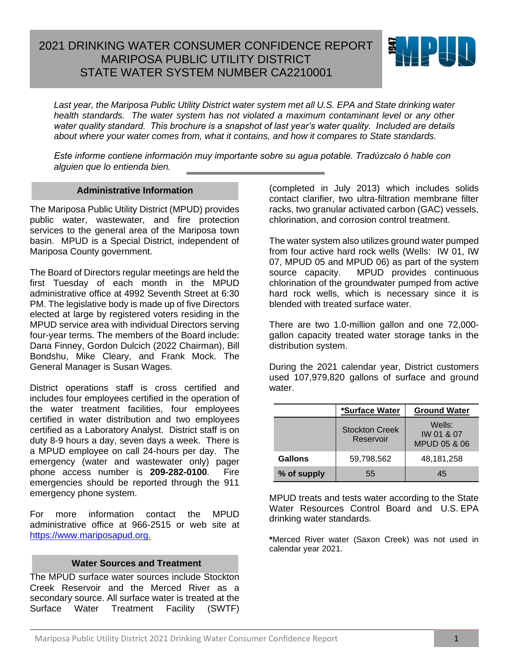# 2021 DRINKING WATER CONSUMER CONFIDENCE REPORT MARIPOSA PUBLIC UTILITY DISTRICT STATE WATER SYSTEM NUMBER CA2210001



*Last year, the Mariposa Public Utility District water system met all U.S. EPA and State drinking water health standards. The water system has not violated a maximum contaminant level or any other water quality standard. This brochure is a snapshot of last year's water quality. Included are details about where your water comes from, what it contains, and how it compares to State standards.* 

*Este informe contiene informaciόn muy importante sobre su agua potable. Tradύzcalo ό hable con alguien que lo entienda bien.*

#### **Administrative Information**

The Mariposa Public Utility District (MPUD) provides public water, wastewater, and fire protection services to the general area of the Mariposa town basin. MPUD is a Special District, independent of Mariposa County government.

The Board of Directors regular meetings are held the first Tuesday of each month in the MPUD administrative office at 4992 Seventh Street at 6:30 PM. The legislative body is made up of five Directors elected at large by registered voters residing in the MPUD service area with individual Directors serving four-year terms. The members of the Board include: Dana Finney, Gordon Dulcich (2022 Chairman), Bill Bondshu, Mike Cleary, and Frank Mock. The General Manager is Susan Wages.

District operations staff is cross certified and includes four employees certified in the operation of the water treatment facilities, four employees certified in water distribution and two employees certified as a Laboratory Analyst. District staff is on duty 8-9 hours a day, seven days a week. There is a MPUD employee on call 24-hours per day. The emergency (water and wastewater only) pager phone access number is **209-282-0100**. Fire emergencies should be reported through the 911 emergency phone system.

For more information contact the MPUD administrative office at 966-2515 or web site at [https://www.mariposapud.org.](https://www.mariposapud.org/)

## **Water Sources and Treatment**

The MPUD surface water sources include Stockton Creek Reservoir and the Merced River as a secondary source. All surface water is treated at the Surface Water Treatment Facility (SWTF) (completed in July 2013) which includes solids contact clarifier, two ultra-filtration membrane filter racks, two granular activated carbon (GAC) vessels, chlorination, and corrosion control treatment.

The water system also utilizes ground water pumped from four active hard rock wells (Wells: IW 01, IW 07, MPUD 05 and MPUD 06) as part of the system source capacity. MPUD provides continuous chlorination of the groundwater pumped from active hard rock wells, which is necessary since it is blended with treated surface water.

There are two 1.0-million gallon and one 72,000 gallon capacity treated water storage tanks in the distribution system.

During the 2021 calendar year, District customers used 107,979,820 gallons of surface and ground water.

|             | *Surface Water                     | <b>Ground Water</b>                  |
|-------------|------------------------------------|--------------------------------------|
|             | <b>Stockton Creek</b><br>Reservoir | Wells:<br>IW 01 & 07<br>MPUD 05 & 06 |
| Gallons     | 59,798,562                         | 48,181,258                           |
| % of supply | 55                                 | 45                                   |

MPUD treats and tests water according to the State Water Resources Control Board and U.S. EPA drinking water standards.

**\***Merced River water (Saxon Creek) was not used in calendar year 2021.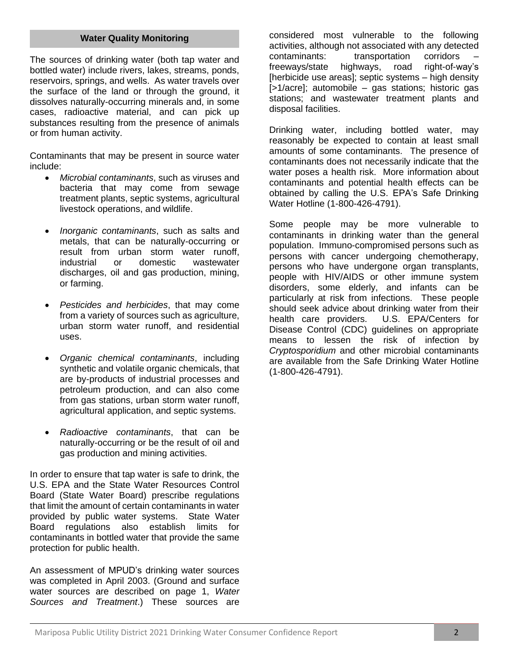## **Water Quality Monitoring**

The sources of drinking water (both tap water and bottled water) include rivers, lakes, streams, ponds, reservoirs, springs, and wells. As water travels over the surface of the land or through the ground, it dissolves naturally-occurring minerals and, in some cases, radioactive material, and can pick up substances resulting from the presence of animals or from human activity.

Contaminants that may be present in source water include:

- *Microbial contaminants*, such as viruses and bacteria that may come from sewage treatment plants, septic systems, agricultural livestock operations, and wildlife.
- *Inorganic contaminants*, such as salts and metals, that can be naturally-occurring or result from urban storm water runoff, industrial or domestic wastewater discharges, oil and gas production, mining, or farming.
- *Pesticides and herbicides*, that may come from a variety of sources such as agriculture, urban storm water runoff, and residential uses.
- *Organic chemical contaminants*, including synthetic and volatile organic chemicals, that are by-products of industrial processes and petroleum production, and can also come from gas stations, urban storm water runoff, agricultural application, and septic systems.
- *Radioactive contaminants*, that can be naturally-occurring or be the result of oil and gas production and mining activities.

In order to ensure that tap water is safe to drink, the U.S. EPA and the State Water Resources Control Board (State Water Board) prescribe regulations that limit the amount of certain contaminants in water provided by public water systems. State Water Board regulations also establish limits for contaminants in bottled water that provide the same protection for public health.

An assessment of MPUD's drinking water sources was completed in April 2003. (Ground and surface water sources are described on page 1, *Water Sources and Treatment*.) These sources are considered most vulnerable to the following activities, although not associated with any detected contaminants: transportation corridors freeways/state highways, road right-of-way's [herbicide use areas]; septic systems - high density [>1/acre]; automobile – gas stations; historic gas stations; and wastewater treatment plants and disposal facilities.

Drinking water, including bottled water, may reasonably be expected to contain at least small amounts of some contaminants. The presence of contaminants does not necessarily indicate that the water poses a health risk. More information about contaminants and potential health effects can be obtained by calling the U.S. EPA's Safe Drinking Water Hotline (1-800-426-4791).

Some people may be more vulnerable to contaminants in drinking water than the general population. Immuno-compromised persons such as persons with cancer undergoing chemotherapy, persons who have undergone organ transplants, people with HIV/AIDS or other immune system disorders, some elderly, and infants can be particularly at risk from infections. These people should seek advice about drinking water from their health care providers. U.S. EPA/Centers for Disease Control (CDC) guidelines on appropriate means to lessen the risk of infection by *Cryptosporidium* and other microbial contaminants are available from the Safe Drinking Water Hotline (1-800-426-4791).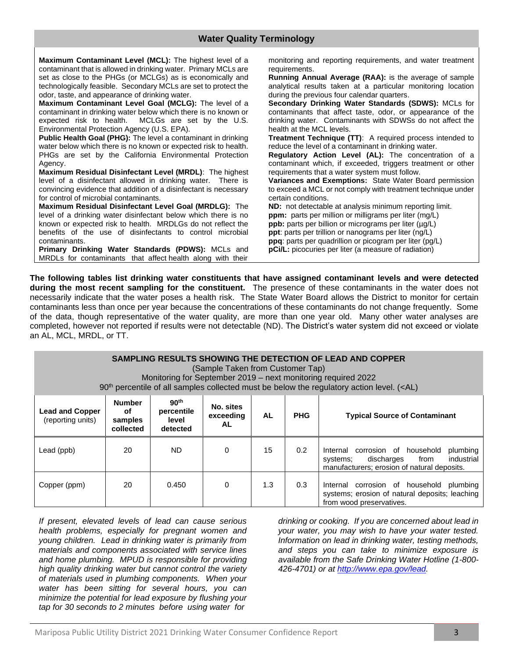**Maximum Contaminant Level (MCL):** The highest level of a contaminant that is allowed in drinking water. Primary MCLs are set as close to the PHGs (or MCLGs) as is economically and technologically feasible. Secondary MCLs are set to protect the odor, taste, and appearance of drinking water.

**Maximum Contaminant Level Goal (MCLG):** The level of a contaminant in drinking water below which there is no known or expected risk to health. MCLGs are set by the U.S. Environmental Protection Agency (U.S. EPA).

**Public Health Goal (PHG):** The level a contaminant in drinking water below which there is no known or expected risk to health. PHGs are set by the California Environmental Protection Agency.

**Maximum Residual Disinfectant Level (MRDL)**: The highest level of a disinfectant allowed in drinking water. There is convincing evidence that addition of a disinfectant is necessary for control of microbial contaminants.

**Maximum Residual Disinfectant Level Goal (MRDLG):** The level of a drinking water disinfectant below which there is no known or expected risk to health. MRDLGs do not reflect the benefits of the use of disinfectants to control microbial contaminants.

**Primary Drinking Water Standards (PDWS):** MCLs and MRDLs for contaminants that affect health along with their

monitoring and reporting requirements, and water treatment requirements.

**Running Annual Average (RAA):** is the average of sample analytical results taken at a particular monitoring location during the previous four calendar quarters.

**Secondary Drinking Water Standards (SDWS):** MCLs for contaminants that affect taste, odor, or appearance of the drinking water. Contaminants with SDWSs do not affect the health at the MCL levels.

**Treatment Technique (TT)**: A required process intended to reduce the level of a contaminant in drinking water.

**Regulatory Action Level (AL):** The concentration of a contaminant which, if exceeded, triggers treatment or other requirements that a water system must follow.

**Variances and Exemptions:** State Water Board permission to exceed a MCL or not comply with treatment technique under certain conditions.

**ND:** not detectable at analysis minimum reporting limit. **ppm:** parts per million or milligrams per liter (mg/L) **ppb:** parts per billion or micrograms per liter (µg/L) **ppt**: parts per trillion or nanograms per liter (ng/L) **ppq**: parts per quadrillion or picogram per liter (pg/L) **pCi/L:** picocuries per liter (a measure of radiation)

**The following tables list drinking water constituents that have assigned contaminant levels and were detected during the most recent sampling for the constituent.** The presence of these contaminants in the water does not necessarily indicate that the water poses a health risk. The State Water Board allows the District to monitor for certain contaminants less than once per year because the concentrations of these contaminants do not change frequently. Some of the data, though representative of the water quality, are more than one year old. Many other water analyses are completed, however not reported if results were not detectable (ND). The District's water system did not exceed or violate an AL, MCL, MRDL, or TT.

| SAMPLING RESULTS SHOWING THE DETECTION OF LEAD AND COPPER<br>(Sample Taken from Customer Tap)<br>Monitoring for September 2019 – next monitoring required 2022<br>90 <sup>th</sup> percentile of all samples collected must be below the regulatory action level. ( <al)< th=""></al)<> |    |       |   |     |     |                                                                                                                                            |  |  |  |
|-----------------------------------------------------------------------------------------------------------------------------------------------------------------------------------------------------------------------------------------------------------------------------------------|----|-------|---|-----|-----|--------------------------------------------------------------------------------------------------------------------------------------------|--|--|--|
| 90 <sup>th</sup><br><b>Number</b><br>No. sites<br>percentile<br><b>Lead and Copper</b><br>οf<br><b>PHG</b><br><b>Typical Source of Contaminant</b><br>exceeding<br><b>AL</b><br>(reporting units)<br>samples<br>level<br><b>AL</b><br>collected<br>detected                             |    |       |   |     |     |                                                                                                                                            |  |  |  |
| Lead (ppb)                                                                                                                                                                                                                                                                              | 20 | ND.   | 0 | 15  | 0.2 | Internal corrosion of household<br>plumbing<br>industrial<br>discharges<br>from<br>systems;<br>manufacturers; erosion of natural deposits. |  |  |  |
| Copper (ppm)                                                                                                                                                                                                                                                                            | 20 | 0.450 | 0 | 1.3 | 0.3 | Internal corrosion of household<br>plumbing<br>systems; erosion of natural deposits; leaching<br>from wood preservatives.                  |  |  |  |

*If present, elevated levels of lead can cause serious health problems, especially for pregnant women and young children. Lead in drinking water is primarily from materials and components associated with service lines and home plumbing. MPUD is responsible for providing high quality drinking water but cannot control the variety of materials used in plumbing components. When your water has been sitting for several hours, you can minimize the potential for lead exposure by flushing your tap for 30 seconds to 2 minutes before using water for* 

*drinking or cooking. If you are concerned about lead in your water, you may wish to have your water tested. Information on lead in drinking water, testing methods, and steps you can take to minimize exposure is available from the Safe Drinking Water Hotline (1-800- 426-4701) or at [http://www.epa.gov/lead.](http://www.epa.gov/lead)*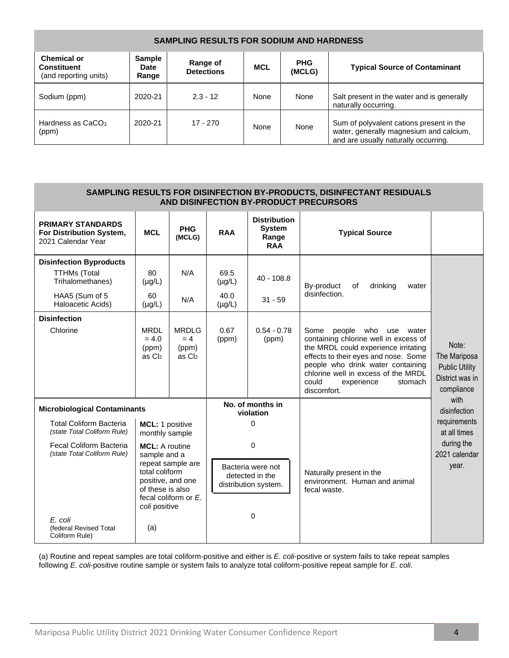| <b>SAMPLING RESULTS FOR SODIUM AND HARDNESS</b>                   |                                       |                               |            |                      |                                                                                                                             |  |  |  |  |
|-------------------------------------------------------------------|---------------------------------------|-------------------------------|------------|----------------------|-----------------------------------------------------------------------------------------------------------------------------|--|--|--|--|
| <b>Chemical or</b><br><b>Constituent</b><br>(and reporting units) | <b>Sample</b><br><b>Date</b><br>Range | Range of<br><b>Detections</b> | <b>MCL</b> | <b>PHG</b><br>(MCLG) | <b>Typical Source of Contaminant</b>                                                                                        |  |  |  |  |
| Sodium (ppm)                                                      | 2020-21                               | $2.3 - 12$                    | None       | None                 | Salt present in the water and is generally<br>naturally occurring.                                                          |  |  |  |  |
| Hardness as CaCO <sub>3</sub><br>(ppm)                            | 2020-21                               | $17 - 270$                    | None       | None                 | Sum of polyvalent cations present in the<br>water, generally magnesium and calcium,<br>and are usually naturally occurring. |  |  |  |  |

| SAMPLING RESULTS FOR DISINFECTION BY-PRODUCTS, DISINFECTANT RESIDUALS<br>AND DISINFECTION BY-PRODUCT PRECURSORS                                                                       |                                                                                                                                                                                                                                                      |                                          |                                                                                                              |                                                             |                                                                                                                                                                                                                                                                                          |                                                                                              |  |  |  |
|---------------------------------------------------------------------------------------------------------------------------------------------------------------------------------------|------------------------------------------------------------------------------------------------------------------------------------------------------------------------------------------------------------------------------------------------------|------------------------------------------|--------------------------------------------------------------------------------------------------------------|-------------------------------------------------------------|------------------------------------------------------------------------------------------------------------------------------------------------------------------------------------------------------------------------------------------------------------------------------------------|----------------------------------------------------------------------------------------------|--|--|--|
| <b>PRIMARY STANDARDS</b><br>For Distribution System,<br>2021 Calendar Year                                                                                                            | <b>MCL</b>                                                                                                                                                                                                                                           | <b>PHG</b><br>(MCLG)                     | <b>RAA</b>                                                                                                   | <b>Distribution</b><br><b>System</b><br>Range<br><b>RAA</b> | <b>Typical Source</b>                                                                                                                                                                                                                                                                    |                                                                                              |  |  |  |
| <b>Disinfection Byproducts</b><br><b>TTHMs (Total</b><br>Trihalomethanes)<br>HAA5 (Sum of 5                                                                                           | 80<br>$(\mu g/L)$<br>60                                                                                                                                                                                                                              | N/A<br>N/A                               | 69.5<br>$(\mu g/L)$<br>40.0                                                                                  | $40 - 108.8$<br>$31 - 59$                                   | By-product<br>of<br>drinking<br>water<br>disinfection.                                                                                                                                                                                                                                   |                                                                                              |  |  |  |
| Haloacetic Acids)<br><b>Disinfection</b><br>Chlorine                                                                                                                                  | $(\mu g/L)$<br><b>MRDL</b><br>$= 4.0$<br>(ppm)<br>as C <sub>l2</sub>                                                                                                                                                                                 | <b>MRDLG</b><br>$= 4$<br>(ppm)<br>as Cl2 | $(\mu g/L)$<br>0.67<br>(ppm)                                                                                 | $0.54 - 0.78$<br>(ppm)                                      | Some<br>people who<br>use<br>water<br>containing chlorine well in excess of<br>the MRDL could experience irritating<br>effects to their eyes and nose. Some<br>people who drink water containing<br>chlorine well in excess of the MRDL<br>could<br>experience<br>stomach<br>discomfort. | Note:<br>The Mariposa<br><b>Public Utility</b><br>District was in<br>compliance              |  |  |  |
| <b>Total Coliform Bacteria</b><br>(state Total Coliform Rule)<br><b>Fecal Coliform Bacteria</b><br>(state Total Coliform Rule)<br>E. coli<br>(federal Revised Total<br>Coliform Rule) | <b>Microbiological Contaminants</b><br>MCL: 1 positive<br>monthly sample<br><b>MCL:</b> A routine<br>sample and a<br>repeat sample are<br>total coliform<br>positive, and one<br>of these is also<br>fecal coliform or $E$ .<br>coli positive<br>(a) |                                          | No. of months in<br>violation<br>0<br>0<br>Bacteria were not<br>detected in the<br>distribution system.<br>0 |                                                             | Naturally present in the<br>environment. Human and animal<br>fecal waste.                                                                                                                                                                                                                | with<br>disinfection<br>requirements<br>at all times<br>during the<br>2021 calendar<br>year. |  |  |  |

(a) Routine and repeat samples are total coliform-positive and either is *E. coli*-positive or system fails to take repeat samples following *E. coli*-positive routine sample or system fails to analyze total coliform-positive repeat sample for *E. coli*.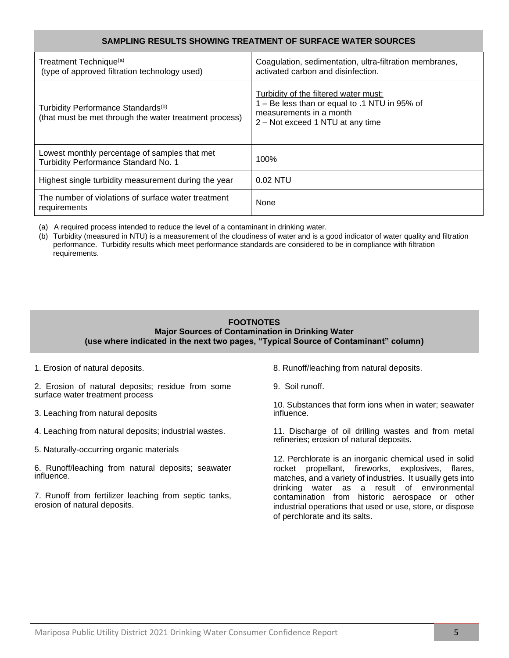## **SAMPLING RESULTS SHOWING TREATMENT OF SURFACE WATER SOURCES**

| Treatment Technique <sup>(a)</sup><br>(type of approved filtration technology used)                      | Coagulation, sedimentation, ultra-filtration membranes,<br>activated carbon and disinfection.                                                         |
|----------------------------------------------------------------------------------------------------------|-------------------------------------------------------------------------------------------------------------------------------------------------------|
| Turbidity Performance Standards <sup>(b)</sup><br>(that must be met through the water treatment process) | Turbidity of the filtered water must:<br>1 - Be less than or equal to .1 NTU in 95% of<br>measurements in a month<br>2 – Not exceed 1 NTU at any time |
| Lowest monthly percentage of samples that met<br>Turbidity Performance Standard No. 1                    | 100%                                                                                                                                                  |
| Highest single turbidity measurement during the year                                                     | 0.02 NTU                                                                                                                                              |
| The number of violations of surface water treatment<br>requirements                                      | None                                                                                                                                                  |

(a) A required process intended to reduce the level of a contaminant in drinking water.

(b) Turbidity (measured in NTU) is a measurement of the cloudiness of water and is a good indicator of water quality and filtration performance. Turbidity results which meet performance standards are considered to be in compliance with filtration requirements.

#### **FOOTNOTES Major Sources of Contamination in Drinking Water (use where indicated in the next two pages, "Typical Source of Contaminant" column)**

1. Erosion of natural deposits.

2. Erosion of natural deposits; residue from some surface water treatment process

- 3. Leaching from natural deposits
- 4. Leaching from natural deposits; industrial wastes.
- 5. Naturally-occurring organic materials
- 6. Runoff/leaching from natural deposits; seawater influence.

7. Runoff from fertilizer leaching from septic tanks, erosion of natural deposits.

- 8. Runoff/leaching from natural deposits.
- 9. Soil runoff.

10. Substances that form ions when in water; seawater influence.

11. Discharge of oil drilling wastes and from metal refineries; erosion of natural deposits.

12. Perchlorate is an inorganic chemical used in solid rocket propellant, fireworks, explosives, flares, matches, and a variety of industries. It usually gets into drinking water as a result of environmental contamination from historic aerospace or other industrial operations that used or use, store, or dispose of perchlorate and its salts.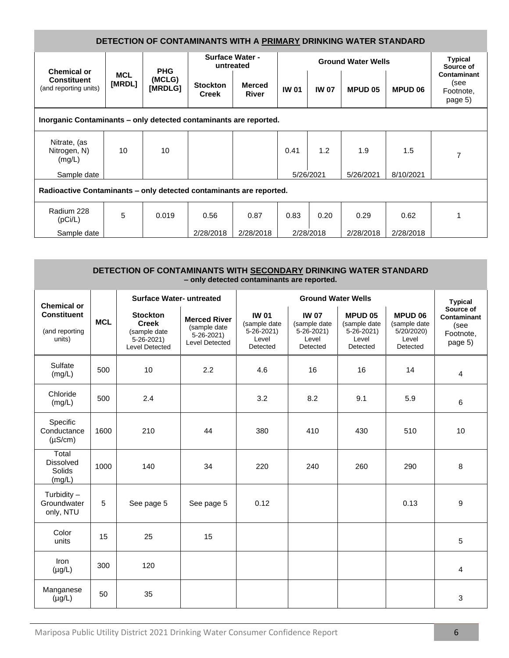| DETECTION OF CONTAMINANTS WITH A PRIMARY DRINKING WATER STANDARD    |                      |                   |                                     |                               |              |                             |                |                |                                                    |
|---------------------------------------------------------------------|----------------------|-------------------|-------------------------------------|-------------------------------|--------------|-----------------------------|----------------|----------------|----------------------------------------------------|
| Chemical or                                                         |                      | <b>PHG</b>        | <b>Surface Water -</b><br>untreated |                               |              | <b>Typical</b><br>Source of |                |                |                                                    |
| <b>Constituent</b><br>(and reporting units)                         | <b>MCL</b><br>[MRDL] | (MCLG)<br>[MRDLG] | <b>Stockton</b><br><b>Creek</b>     | <b>Merced</b><br><b>River</b> | <b>IW 01</b> | <b>IW 07</b>                | <b>MPUD 05</b> | <b>MPUD 06</b> | <b>Contaminant</b><br>(see<br>Footnote,<br>page 5) |
| Inorganic Contaminants - only detected contaminants are reported.   |                      |                   |                                     |                               |              |                             |                |                |                                                    |
| Nitrate, (as<br>Nitrogen, N)<br>(mg/L)                              | 10                   | 10                |                                     |                               | 0.41         | 1.2                         | 1.9            | 1.5            | $\overline{7}$                                     |
| Sample date                                                         |                      |                   |                                     |                               |              | 5/26/2021                   | 5/26/2021      | 8/10/2021      |                                                    |
| Radioactive Contaminants – only detected contaminants are reported. |                      |                   |                                     |                               |              |                             |                |                |                                                    |
| Radium 228<br>(pCi/L)                                               | 5                    | 0.019             | 0.56                                | 0.87                          | 0.83         | 0.20                        | 0.29           | 0.62           |                                                    |
| Sample date                                                         |                      |                   | 2/28/2018                           | 2/28/2018                     |              | 2/28/2018                   | 2/28/2018      | 2/28/2018      |                                                    |

| DETECTION OF CONTAMINANTS WITH SECONDARY DRINKING WATER STANDARD<br>- only detected contaminants are reported. |            |                                                                                 |                                                                                 |                                                                  |                                                                      |                                                                 |                                                                   |                                                                 |  |
|----------------------------------------------------------------------------------------------------------------|------------|---------------------------------------------------------------------------------|---------------------------------------------------------------------------------|------------------------------------------------------------------|----------------------------------------------------------------------|-----------------------------------------------------------------|-------------------------------------------------------------------|-----------------------------------------------------------------|--|
| <b>Chemical or</b>                                                                                             |            | <b>Surface Water- untreated</b>                                                 |                                                                                 |                                                                  | <b>Typical</b>                                                       |                                                                 |                                                                   |                                                                 |  |
| <b>Constituent</b><br>(and reporting<br>units)                                                                 | <b>MCL</b> | <b>Stockton</b><br><b>Creek</b><br>(sample date<br>5-26-2021)<br>Level Detected | <b>Merced River</b><br>(sample date<br>$5 - 26 - 2021$<br><b>Level Detected</b> | <b>IW 01</b><br>(sample date<br>$5-26-2021$<br>Level<br>Detected | <b>IW 07</b><br>(sample date<br>$5 - 26 - 2021$<br>Level<br>Detected | MPUD 05<br>(sample date<br>$5 - 26 - 2021$<br>Level<br>Detected | <b>MPUD 06</b><br>(sample date<br>5/20/2020)<br>Level<br>Detected | Source of<br><b>Contaminant</b><br>(see<br>Footnote,<br>page 5) |  |
| Sulfate<br>(mg/L)                                                                                              | 500        | 10                                                                              | 2.2                                                                             | 4.6                                                              | 16                                                                   | 16                                                              | 14                                                                | 4                                                               |  |
| Chloride<br>(mg/L)                                                                                             | 500        | 2.4                                                                             |                                                                                 | 3.2                                                              | 8.2                                                                  | 9.1                                                             | 5.9                                                               | 6                                                               |  |
| Specific<br>Conductance<br>$(\mu S/cm)$                                                                        | 1600       | 210                                                                             | 44                                                                              | 380                                                              | 410                                                                  | 430                                                             | 510                                                               | 10                                                              |  |
| Total<br><b>Dissolved</b><br>Solids<br>(mg/L)                                                                  | 1000       | 140                                                                             | 34                                                                              | 220                                                              | 240                                                                  | 260                                                             | 290                                                               | 8                                                               |  |
| Turbidity $-$<br>Groundwater<br>only, NTU                                                                      | 5          | See page 5                                                                      | See page 5                                                                      | 0.12                                                             |                                                                      |                                                                 | 0.13                                                              | 9                                                               |  |
| Color<br>units                                                                                                 | 15         | 25                                                                              | 15                                                                              |                                                                  |                                                                      |                                                                 |                                                                   | 5                                                               |  |
| <b>Iron</b><br>$(\mu g/L)$                                                                                     | 300        | 120                                                                             |                                                                                 |                                                                  |                                                                      |                                                                 |                                                                   | 4                                                               |  |
| Manganese<br>$(\mu g/L)$                                                                                       | 50         | 35                                                                              |                                                                                 |                                                                  |                                                                      |                                                                 |                                                                   | 3                                                               |  |